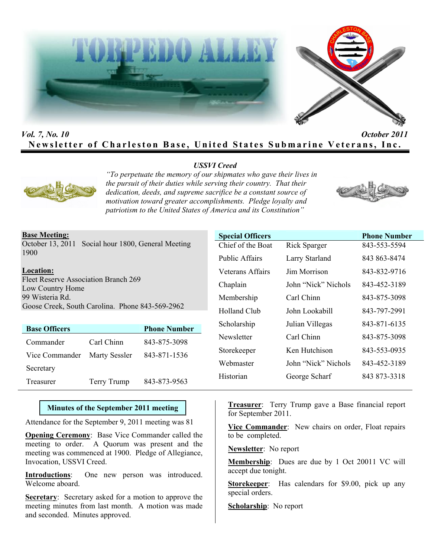



# *Vol. 7, No. 10 October 2011* **Newsletter of Charleston Base, United States Submarine Veterans, Inc.**

# *USSVI Creed*



*"To perpetuate the memory of our shipmates who gave their lives in the pursuit of their duties while serving their country. That their dedication, deeds, and supreme sacrifice be a constant source of motivation toward greater accomplishments. Pledge loyalty and patriotism to the United States of America and its Constitution"* 



### **Base Meeting:**

October 13, 2011 Social hour 1800, General Meeting 1900

**Location:** Fleet Reserve Association Branch 269 Low Country Home 99 Wisteria Rd. Goose Creek, South Carolina. Phone 843-569-2962

| <b>Base Officers</b>         |             | <b>Phone Number</b> |
|------------------------------|-------------|---------------------|
| Commander                    | Carl Chinn  | 843-875-3098        |
| Vice Commander Marty Sessler |             | 843-871-1536        |
| Secretary                    |             |                     |
| Treasurer                    | Terry Trump | 843-873-9563        |

# **Minutes of the September 2011 meeting**

Attendance for the September 9, 2011 meeting was 81

**Opening Ceremony**: Base Vice Commander called the meeting to order. A Quorum was present and the meeting was commenced at 1900. Pledge of Allegiance, Invocation, USSVI Creed.

**Introductions**: One new person was introduced. Welcome aboard.

**Secretary**: Secretary asked for a motion to approve the meeting minutes from last month. A motion was made and seconded. Minutes approved.

| <b>Special Officers</b> |                     | <b>Phone Number</b> |
|-------------------------|---------------------|---------------------|
| Chief of the Boat       | <b>Rick Sparger</b> | 843-553-5594        |
| <b>Public Affairs</b>   | Larry Starland      | 843 863-8474        |
| Veterans Affairs        | Jim Morrison        | 843-832-9716        |
| Chaplain                | John "Nick" Nichols | 843-452-3189        |
| Membership              | Carl Chinn          | 843-875-3098        |
| Holland Club            | John Lookabill      | 843-797-2991        |
| Scholarship             | Julian Villegas     | 843-871-6135        |
| Newsletter              | Carl Chinn          | 843-875-3098        |
| Storekeeper             | Ken Hutchison       | 843-553-0935        |
| Webmaster               | John "Nick" Nichols | 843-452-3189        |
| Historian               | George Scharf       | 843 873-3318        |

**Treasurer**: Terry Trump gave a Base financial report for September 2011.

**Vice Commander**: New chairs on order, Float repairs to be completed.

**Newsletter**: No report

**Membership**: Dues are due by 1 Oct 20011 VC will accept due tonight.

**Storekeeper**: Has calendars for \$9.00, pick up any special orders.

**Scholarship**: No report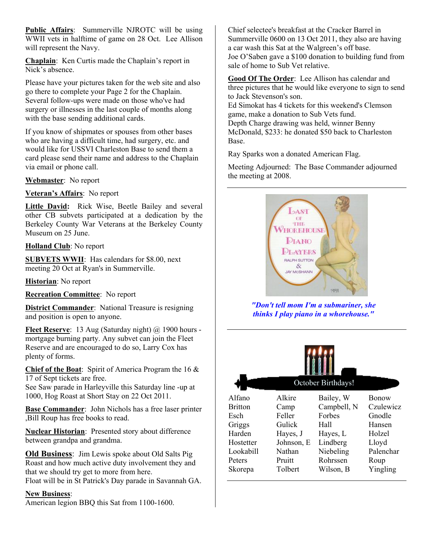**Public Affairs**: Summerville NJROTC will be using WWII vets in halftime of game on 28 Oct. Lee Allison will represent the Navy.

**Chaplain**: Ken Curtis made the Chaplain's report in Nick's absence.

Please have your pictures taken for the web site and also go there to complete your Page 2 for the Chaplain. Several follow-ups were made on those who've had surgery or illnesses in the last couple of months along with the base sending additional cards.

If you know of shipmates or spouses from other bases who are having a difficult time, had surgery, etc. and would like for USSVI Charleston Base to send them a card please send their name and address to the Chaplain via email or phone call.

**Webmaster**: No report

**Veteran's Affairs**: No report

**Little David:** Rick Wise, Beetle Bailey and several other CB subvets participated at a dedication by the Berkeley County War Veterans at the Berkeley County Museum on 25 June.

**Holland Club**: No report

**SUBVETS WWII**: Has calendars for \$8.00, next meeting 20 Oct at Ryan's in Summerville.

**Historian**: No report

**Recreation Committee**: No report

**District Commander**: National Treasure is resigning and position is open to anyone.

Fleet Reserve: 13 Aug (Saturday night) @ 1900 hours mortgage burning party. Any subvet can join the Fleet Reserve and are encouraged to do so, Larry Cox has plenty of forms.

**Chief of the Boat**: Spirit of America Program the 16 & 17 of Sept tickets are free.

See Saw parade in Harleyville this Saturday line -up at 1000, Hog Roast at Short Stay on 22 Oct 2011.

**Base Commander**: John Nichols has a free laser printer ,Bill Roup has free books to read.

**Nuclear Historian**: Presented story about difference between grandpa and grandma.

**Old Business**: Jim Lewis spoke about Old Salts Pig Roast and how much active duty involvement they and that we should try get to more from here. Float will be in St Patrick's Day parade in Savannah GA.

### **New Business**:

American legion BBQ this Sat from 1100-1600.

Chief selectee's breakfast at the Cracker Barrel in Summerville 0600 on 13 Oct 2011, they also are having a car wash this Sat at the Walgreen's off base. Joe O'Saben gave a \$100 donation to building fund from sale of home to Sub Vet relative.

**Good Of The Order**: Lee Allison has calendar and three pictures that he would like everyone to sign to send to Jack Stevenson's son. Ed Simokat has 4 tickets for this weekend's Clemson game, make a donation to Sub Vets fund. Depth Charge drawing was held, winner Benny McDonald, \$233: he donated \$50 back to Charleston Base.

Ray Sparks won a donated American Flag.

Meeting Adjourned: The Base Commander adjourned the meeting at 2008.



*"Don't tell mom I'm a submariner, she thinks I play piano in a whorehouse."* 

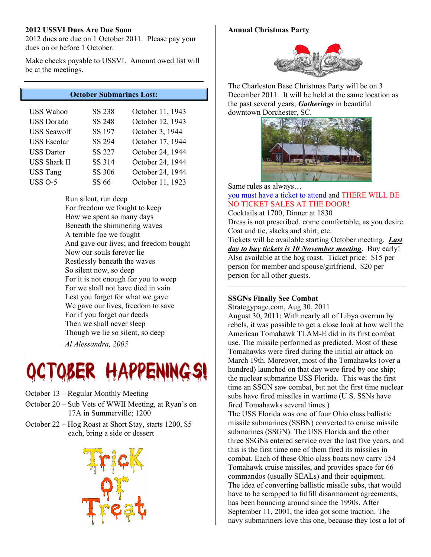#### **2012 USSVI Dues Are Due Soon**

2012 dues are due on 1 October 2011. Please pay your dues on or before 1 October.

Make checks payable to USSVI. Amount owed list will be at the meetings.

# **October Submarines Lost:**

| <b>USS Wahoo</b>    | <b>SS 238</b> | October 11, 1943 |
|---------------------|---------------|------------------|
| <b>USS</b> Dorado   | <b>SS 248</b> | October 12, 1943 |
| <b>USS</b> Seawolf  | SS 197        | October 3, 1944  |
| <b>USS</b> Escolar  | <b>SS 294</b> | October 17, 1944 |
| <b>USS Darter</b>   | <b>SS 227</b> | October 24, 1944 |
| <b>USS Shark II</b> | SS 314        | October 24, 1944 |
| <b>USS Tang</b>     | <b>SS 306</b> | October 24, 1944 |
| <b>USS O-5</b>      | SS 66         | October 11, 1923 |

Run silent, run deep For freedom we fought to keep How we spent so many days Beneath the shimmering waves A terrible foe we fought And gave our lives; and freedom bought Now our souls forever lie Restlessly beneath the waves So silent now, so deep For it is not enough for you to weep For we shall not have died in vain Lest you forget for what we gave We gave our lives, freedom to save For if you forget our deeds Then we shall never sleep Though we lie so silent, so deep *Al Alessandra, 2005* 



- October 13 Regular Monthly Meeting
- October 20 Sub Vets of WWII Meeting, at Ryan's on 17A in Summerville; 1200
- October 22 Hog Roast at Short Stay, starts 1200, \$5 each, bring a side or dessert



#### **Annual Christmas Party**



The Charleston Base Christmas Party will be on 3 December 2011. It will be held at the same location as the past several years; *Gatherings* in beautiful downtown Dorchester, SC.



Same rules as always…

#### you must have a ticket to attend and THERE WILL BE NO TICKET SALES AT THE DOOR!

Cocktails at 1700, Dinner at 1830

Dress is not prescribed, come comfortable, as you desire. Coat and tie, slacks and shirt, etc.

Tickets will be available starting October meeting. *Last day to buy tickets is 10 November meeting*. Buy early! Also available at the hog roast. Ticket price: \$15 per person for member and spouse/girlfriend. \$20 per person for all other guests.

# **SSGNs Finally See Combat**

Strategypage.com, Aug 30, 2011

August 30, 2011: With nearly all of Libya overrun by rebels, it was possible to get a close look at how well the American Tomahawk TLAM-E did in its first combat use. The missile performed as predicted. Most of these Tomahawks were fired during the initial air attack on March 19th. Moreover, most of the Tomahawks (over a hundred) launched on that day were fired by one ship; the nuclear submarine USS Florida. This was the first time an SSGN saw combat, but not the first time nuclear subs have fired missiles in wartime (U.S. SSNs have fired Tomahawks several times.)

The USS Florida was one of four Ohio class ballistic missile submarines (SSBN) converted to cruise missile submarines (SSGN). The USS Florida and the other three SSGNs entered service over the last five years, and this is the first time one of them fired its missiles in combat. Each of these Ohio class boats now carry 154 Tomahawk cruise missiles, and provides space for 66 commandos (usually SEALs) and their equipment. The idea of converting ballistic missile subs, that would have to be scrapped to fulfill disarmament agreements, has been bouncing around since the 1990s. After September 11, 2001, the idea got some traction. The navy submariners love this one, because they lost a lot of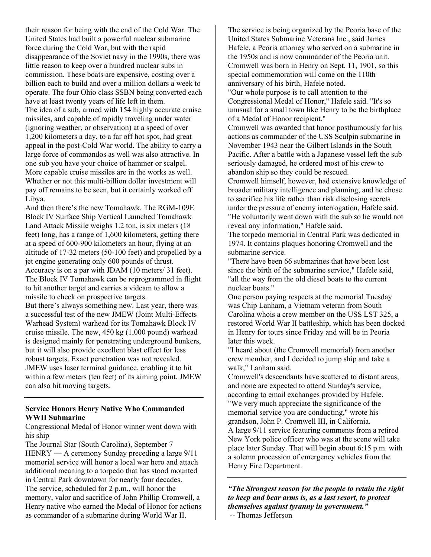their reason for being with the end of the Cold War. The United States had built a powerful nuclear submarine force during the Cold War, but with the rapid disappearance of the Soviet navy in the 1990s, there was little reason to keep over a hundred nuclear subs in commission. These boats are expensive, costing over a billion each to build and over a million dollars a week to operate. The four Ohio class SSBN being converted each have at least twenty years of life left in them. The idea of a sub, armed with 154 highly accurate cruise missiles, and capable of rapidly traveling under water (ignoring weather, or observation) at a speed of over 1,200 kilometers a day, to a far off hot spot, had great appeal in the post-Cold War world. The ability to carry a large force of commandos as well was also attractive. In one sub you have your choice of hammer or scalpel. More capable cruise missiles are in the works as well. Whether or not this multi-billion dollar investment will pay off remains to be seen, but it certainly worked off Libya.

And then there's the new Tomahawk. The RGM-109E Block IV Surface Ship Vertical Launched Tomahawk Land Attack Missile weighs 1.2 ton, is six meters (18 feet) long, has a range of 1,600 kilometers, getting there at a speed of 600-900 kilometers an hour, flying at an altitude of 17-32 meters (50-100 feet) and propelled by a jet engine generating only 600 pounds of thrust. Accuracy is on a par with JDAM (10 meters/ 31 feet). The Block IV Tomahawk can be reprogrammed in flight to hit another target and carries a vidcam to allow a missile to check on prospective targets.

But there's always something new. Last year, there was a successful test of the new JMEW (Joint Multi-Effects Warhead System) warhead for its Tomahawk Block IV cruise missile. The new, 450 kg (1,000 pound) warhead is designed mainly for penetrating underground bunkers, but it will also provide excellent blast effect for less robust targets. Exact penetration was not revealed. JMEW uses laser terminal guidance, enabling it to hit within a few meters (ten feet) of its aiming point. JMEW can also hit moving targets.

### **Service Honors Henry Native Who Commanded WWII Submarine**

Congressional Medal of Honor winner went down with his ship

The Journal Star (South Carolina), September 7 HENRY — A ceremony Sunday preceding a large 9/11 memorial service will honor a local war hero and attach additional meaning to a torpedo that has stood mounted in Central Park downtown for nearly four decades. The service, scheduled for 2 p.m., will honor the memory, valor and sacrifice of John Phillip Cromwell, a Henry native who earned the Medal of Honor for actions as commander of a submarine during World War II.

The service is being organized by the Peoria base of the United States Submarine Veterans Inc., said James Hafele, a Peoria attorney who served on a submarine in the 1950s and is now commander of the Peoria unit. Cromwell was born in Henry on Sept. 11, 1901, so this special commemoration will come on the 110th anniversary of his birth, Hafele noted. "Our whole purpose is to call attention to the

Congressional Medal of Honor," Hafele said. "It's so unusual for a small town like Henry to be the birthplace of a Medal of Honor recipient."

Cromwell was awarded that honor posthumously for his actions as commander of the USS Sculpin submarine in November 1943 near the Gilbert Islands in the South Pacific. After a battle with a Japanese vessel left the sub seriously damaged, he ordered most of his crew to abandon ship so they could be rescued.

Cromwell himself, however, had extensive knowledge of broader military intelligence and planning, and he chose to sacrifice his life rather than risk disclosing secrets under the pressure of enemy interrogation, Hafele said. "He voluntarily went down with the sub so he would not reveal any information," Hafele said.

The torpedo memorial in Central Park was dedicated in 1974. It contains plaques honoring Cromwell and the submarine service.

"There have been 66 submarines that have been lost since the birth of the submarine service," Hafele said, "all the way from the old diesel boats to the current nuclear boats."

One person paying respects at the memorial Tuesday was Chip Lanham, a Vietnam veteran from South Carolina whois a crew member on the USS LST 325, a restored World War II battleship, which has been docked in Henry for tours since Friday and will be in Peoria later this week.

"I heard about (the Cromwell memorial) from another crew member, and I decided to jump ship and take a walk," Lanham said.

Cromwell's descendants have scattered to distant areas, and none are expected to attend Sunday's service, according to email exchanges provided by Hafele. "We very much appreciate the significance of the memorial service you are conducting," wrote his grandson, John P. Cromwell III, in California. A large 9/11 service featuring comments from a retired New York police officer who was at the scene will take place later Sunday. That will begin about 6:15 p.m. with a solemn procession of emergency vehicles from the Henry Fire Department.

*"The Strongest reason for the people to retain the right to keep and bear arms is, as a last resort, to protect themselves against tyranny in government."* 

-- Thomas Jefferson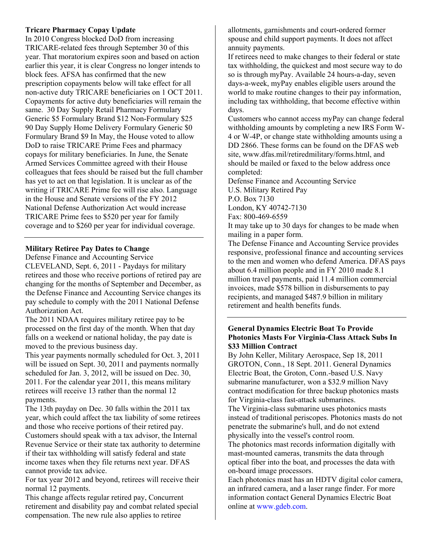### **Tricare Pharmacy Copay Update**

In 2010 Congress blocked DoD from increasing TRICARE-related fees through September 30 of this year. That moratorium expires soon and based on action earlier this year, it is clear Congress no longer intends to block fees. AFSA has confirmed that the new prescription copayments below will take effect for all non-active duty TRICARE beneficiaries on 1 OCT 2011. Copayments for active duty beneficiaries will remain the same. 30 Day Supply Retail Pharmacy Formulary Generic \$5 Formulary Brand \$12 Non-Formulary \$25 90 Day Supply Home Delivery Formulary Generic \$0 Formulary Brand \$9 In May, the House voted to allow DoD to raise TRICARE Prime Fees and pharmacy copays for military beneficiaries. In June, the Senate Armed Services Committee agreed with their House colleagues that fees should be raised but the full chamber has yet to act on that legislation. It is unclear as of the writing if TRICARE Prime fee will rise also. Language in the House and Senate versions of the FY 2012 National Defense Authorization Act would increase TRICARE Prime fees to \$520 per year for family coverage and to \$260 per year for individual coverage.

# **Military Retiree Pay Dates to Change**

Defense Finance and Accounting Service CLEVELAND, Sept. 6, 2011 - Paydays for military retirees and those who receive portions of retired pay are changing for the months of September and December, as the Defense Finance and Accounting Service changes its pay schedule to comply with the 2011 National Defense Authorization Act.

The 2011 NDAA requires military retiree pay to be processed on the first day of the month. When that day falls on a weekend or national holiday, the pay date is moved to the previous business day.

This year payments normally scheduled for Oct. 3, 2011 will be issued on Sept. 30, 2011 and payments normally scheduled for Jan. 3, 2012, will be issued on Dec. 30, 2011. For the calendar year 2011, this means military retirees will receive 13 rather than the normal 12 payments.

The 13th payday on Dec. 30 falls within the 2011 tax year, which could affect the tax liability of some retirees and those who receive portions of their retired pay. Customers should speak with a tax advisor, the Internal Revenue Service or their state tax authority to determine if their tax withholding will satisfy federal and state income taxes when they file returns next year. DFAS cannot provide tax advice.

For tax year 2012 and beyond, retirees will receive their normal 12 payments.

This change affects regular retired pay, Concurrent retirement and disability pay and combat related special compensation. The new rule also applies to retiree

allotments, garnishments and court-ordered former spouse and child support payments. It does not affect annuity payments.

If retirees need to make changes to their federal or state tax withholding, the quickest and most secure way to do so is through myPay. Available 24 hours-a-day, seven days-a-week, myPay enables eligible users around the world to make routine changes to their pay information, including tax withholding, that become effective within days.

Customers who cannot access myPay can change federal withholding amounts by completing a new IRS Form W-4 or W-4P, or change state withholding amounts using a DD 2866. These forms can be found on the DFAS web site, www.dfas.mil/retiredmilitary/forms.html, and should be mailed or faxed to the below address once completed:

Defense Finance and Accounting Service U.S. Military Retired Pay

P.O. Box 7130

London, KY 40742-7130

Fax: 800-469-6559

It may take up to 30 days for changes to be made when mailing in a paper form.

The Defense Finance and Accounting Service provides responsive, professional finance and accounting services to the men and women who defend America. DFAS pays about 6.4 million people and in FY 2010 made 8.1 million travel payments, paid 11.4 million commercial invoices, made \$578 billion in disbursements to pay recipients, and managed \$487.9 billion in military retirement and health benefits funds.

### **General Dynamics Electric Boat To Provide Photonics Masts For Virginia-Class Attack Subs In \$33 Million Contract**

By John Keller, Military Aerospace, Sep 18, 2011 GROTON, Conn., 18 Sept. 2011. General Dynamics Electric Boat, the Groton, Conn.-based U.S. Navy submarine manufacturer, won a \$32.9 million Navy contract modification for three backup photonics masts for Virginia-class fast-attack submarines.

The Virginia-class submarine uses photonics masts instead of traditional periscopes. Photonics masts do not penetrate the submarine's hull, and do not extend physically into the vessel's control room.

The photonics mast records information digitally with mast-mounted cameras, transmits the data through optical fiber into the boat, and processes the data with on-board image processors.

Each photonics mast has an HDTV digital color camera, an infrared camera, and a laser range finder. For more information contact General Dynamics Electric Boat online at www.gdeb.com.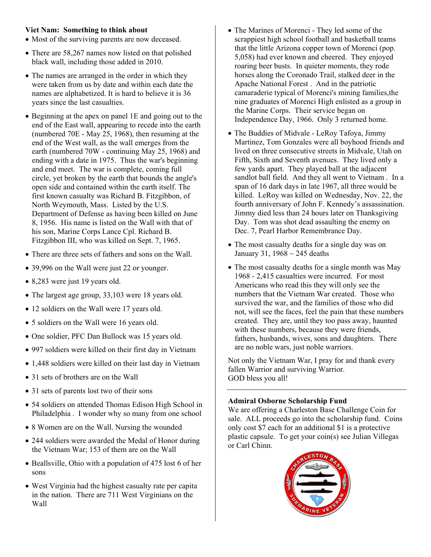# **Viet Nam: Something to think about**

- Most of the surviving parents are now deceased.
- There are 58,267 names now listed on that polished black wall, including those added in 2010.
- The names are arranged in the order in which they were taken from us by date and within each date the names are alphabetized. It is hard to believe it is 36 years since the last casualties.
- Beginning at the apex on panel 1E and going out to the end of the East wall, appearing to recede into the earth (numbered 70E - May 25, 1968), then resuming at the end of the West wall, as the wall emerges from the earth (numbered 70W - continuing May 25, 1968) and ending with a date in 1975. Thus the war's beginning and end meet. The war is complete, coming full circle, yet broken by the earth that bounds the angle's open side and contained within the earth itself. The first known casualty was Richard B. Fitzgibbon, of North Weymouth, Mass. Listed by the U.S. Department of Defense as having been killed on June 8, 1956. His name is listed on the Wall with that of his son, Marine Corps Lance Cpl. Richard B. Fitzgibbon III, who was killed on Sept. 7, 1965.
- There are three sets of fathers and sons on the Wall.
- 39,996 on the Wall were just 22 or younger.
- 8,283 were just 19 years old.
- The largest age group, 33,103 were 18 years old.
- 12 soldiers on the Wall were 17 years old.
- 5 soldiers on the Wall were 16 years old.
- One soldier, PFC Dan Bullock was 15 years old.
- 997 soldiers were killed on their first day in Vietnam
- 1,448 soldiers were killed on their last day in Vietnam
- 31 sets of brothers are on the Wall
- 31 sets of parents lost two of their sons
- 54 soldiers on attended Thomas Edison High School in Philadelphia . I wonder why so many from one school
- 8 Women are on the Wall. Nursing the wounded
- 244 soldiers were awarded the Medal of Honor during the Vietnam War; 153 of them are on the Wall
- Beallsville, Ohio with a population of 475 lost 6 of her sons
- West Virginia had the highest casualty rate per capita in the nation. There are 711 West Virginians on the Wall
- The Marines of Morenci They led some of the scrappiest high school football and basketball teams that the little Arizona copper town of Morenci (pop. 5,058) had ever known and cheered. They enjoyed roaring beer busts. In quieter moments, they rode horses along the Coronado Trail, stalked deer in the Apache National Forest . And in the patriotic camaraderie typical of Morenci's mining families,the nine graduates of Morenci High enlisted as a group in the Marine Corps. Their service began on Independence Day, 1966. Only 3 returned home.
- The Buddies of Midvale LeRoy Tafoya, Jimmy Martinez, Tom Gonzales were all boyhood friends and lived on three consecutive streets in Midvale, Utah on Fifth, Sixth and Seventh avenues. They lived only a few yards apart. They played ball at the adjacent sandlot ball field. And they all went to Vietnam . In a span of 16 dark days in late 1967, all three would be killed. LeRoy was killed on Wednesday, Nov. 22, the fourth anniversary of John F. Kennedy's assassination. Jimmy died less than 24 hours later on Thanksgiving Day. Tom was shot dead assaulting the enemy on Dec. 7, Pearl Harbor Remembrance Day.
- The most casualty deaths for a single day was on January 31,  $1968 \sim 245$  deaths
- The most casualty deaths for a single month was May 1968 - 2,415 casualties were incurred. For most Americans who read this they will only see the numbers that the Vietnam War created. Those who survived the war, and the families of those who did not, will see the faces, feel the pain that these numbers created. They are, until they too pass away, haunted with these numbers, because they were friends, fathers, husbands, wives, sons and daughters. There are no noble wars, just noble warriors.

Not only the Vietnam War, I pray for and thank every fallen Warrior and surviving Warrior. GOD bless you all!

### **Admiral Osborne Scholarship Fund**

We are offering a Charleston Base Challenge Coin for sale. ALL proceeds go into the scholarship fund. Coins only cost \$7 each for an additional \$1 is a protective plastic capsule. To get your coin(s) see Julian Villegas or Carl Chinn.

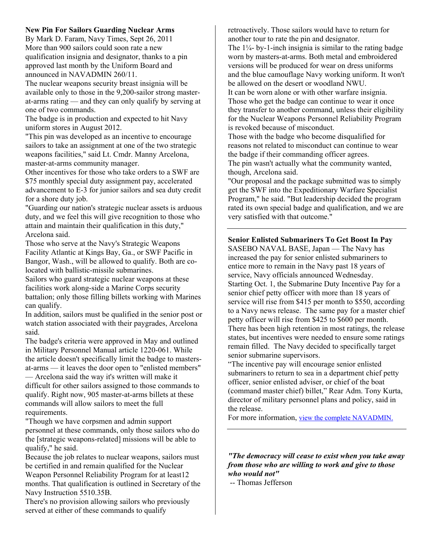# **New Pin For Sailors Guarding Nuclear Arms**

By Mark D. Faram, Navy Times, Sept 26, 2011 More than 900 sailors could soon rate a new qualification insignia and designator, thanks to a pin approved last month by the Uniform Board and announced in NAVADMIN 260/11.

The nuclear weapons security breast insignia will be available only to those in the 9,200-sailor strong masterat-arms rating — and they can only qualify by serving at one of two commands.

The badge is in production and expected to hit Navy uniform stores in August 2012.

"This pin was developed as an incentive to encourage sailors to take an assignment at one of the two strategic weapons facilities," said Lt. Cmdr. Manny Arcelona, master-at-arms community manager.

Other incentives for those who take orders to a SWF are \$75 monthly special duty assignment pay, accelerated advancement to E-3 for junior sailors and sea duty credit for a shore duty job.

"Guarding our nation's strategic nuclear assets is arduous duty, and we feel this will give recognition to those who attain and maintain their qualification in this duty," Arcelona said.

Those who serve at the Navy's Strategic Weapons Facility Atlantic at Kings Bay, Ga., or SWF Pacific in Bangor, Wash., will be allowed to qualify. Both are colocated with ballistic-missile submarines.

Sailors who guard strategic nuclear weapons at these facilities work along-side a Marine Corps security battalion; only those filling billets working with Marines can qualify.

In addition, sailors must be qualified in the senior post or watch station associated with their paygrades, Arcelona said.

The badge's criteria were approved in May and outlined in Military Personnel Manual article 1220-061. While the article doesn't specifically limit the badge to mastersat-arms — it leaves the door open to "enlisted members"

— Arcelona said the way it's written will make it difficult for other sailors assigned to those commands to qualify. Right now, 905 master-at-arms billets at these commands will allow sailors to meet the full requirements.

"Though we have corpsmen and admin support personnel at these commands, only those sailors who do the [strategic weapons-related] missions will be able to qualify," he said.

Because the job relates to nuclear weapons, sailors must be certified in and remain qualified for the Nuclear Weapon Personnel Reliability Program for at least12 months. That qualification is outlined in Secretary of the Navy Instruction 5510.35B.

There's no provision allowing sailors who previously served at either of these commands to qualify

retroactively. Those sailors would have to return for another tour to rate the pin and designator. The  $1/4$ - by-1-inch insignia is similar to the rating badge worn by masters-at-arms. Both metal and embroidered versions will be produced for wear on dress uniforms and the blue camouflage Navy working uniform. It won't be allowed on the desert or woodland NWU.

It can be worn alone or with other warfare insignia. Those who get the badge can continue to wear it once they transfer to another command, unless their eligibility for the Nuclear Weapons Personnel Reliability Program is revoked because of misconduct.

Those with the badge who become disqualified for reasons not related to misconduct can continue to wear the badge if their commanding officer agrees. The pin wasn't actually what the community wanted, though, Arcelona said.

"Our proposal and the package submitted was to simply get the SWF into the Expeditionary Warfare Specialist Program," he said. "But leadership decided the program rated its own special badge and qualification, and we are very satisfied with that outcome."

# **Senior Enlisted Submariners To Get Boost In Pay**

SASEBO NAVAL BASE, Japan — The Navy has increased the pay for senior enlisted submariners to entice more to remain in the Navy past 18 years of service, Navy officials announced Wednesday. Starting Oct. 1, the Submarine Duty Incentive Pay for a senior chief petty officer with more than 18 years of service will rise from \$415 per month to \$550, according to a Navy news release. The same pay for a master chief petty officer will rise from \$425 to \$600 per month. There has been high retention in most ratings, the release states, but incentives were needed to ensure some ratings remain filled. The Navy decided to specifically target senior submarine supervisors.

"The incentive pay will encourage senior enlisted submariners to return to sea in a department chief petty officer, senior enlisted adviser, or chief of the boat (command master chief) billet," Rear Adm. Tony Kurta, director of military personnel plans and policy, said in the release.

For more information, view the complete NAVADMIN.

*"The democracy will cease to exist when you take away from those who are willing to work and give to those who would not"*

-- Thomas Jefferson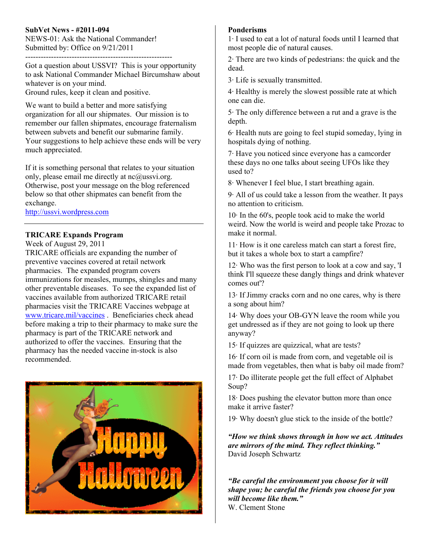# **SubVet News - #2011-094**

NEWS-01: Ask the National Commander! Submitted by: Office on 9/21/2011 ---------------------------------------------------------

Got a question about USSVI? This is your opportunity to ask National Commander Michael Bircumshaw about whatever is on your mind. Ground rules, keep it clean and positive.

We want to build a better and more satisfying organization for all our shipmates. Our mission is to remember our fallen shipmates, encourage fraternalism between subvets and benefit our submarine family. Your suggestions to help achieve these ends will be very much appreciated.

If it is something personal that relates to your situation only, please email me directly at nc@ussvi.org. Otherwise, post your message on the blog referenced below so that other shipmates can benefit from the exchange.

http://ussvi.wordpress.com

# **TRICARE Expands Program**

Week of August 29, 2011 TRICARE officials are expanding the number of

preventive vaccines covered at retail network pharmacies. The expanded program covers immunizations for measles, mumps, shingles and many other preventable diseases. To see the expanded list of vaccines available from authorized TRICARE retail pharmacies visit the TRICARE Vaccines webpage at www.tricare.mil/vaccines . Beneficiaries check ahead before making a trip to their pharmacy to make sure the pharmacy is part of the TRICARE network and authorized to offer the vaccines. Ensuring that the pharmacy has the needed vaccine in-stock is also recommended.



### **Ponderisms**

1· I used to eat a lot of natural foods until I learned that most people die of natural causes.

2· There are two kinds of pedestrians: the quick and the dead.

3· Life is sexually transmitted.

4· Healthy is merely the slowest possible rate at which one can die.

5· The only difference between a rut and a grave is the depth.

6· Health nuts are going to feel stupid someday, lying in hospitals dying of nothing.

7· Have you noticed since everyone has a camcorder these days no one talks about seeing UFOs like they used to?

8· Whenever I feel blue, I start breathing again.

9· All of us could take a lesson from the weather. It pays no attention to criticism.

10· In the 60's, people took acid to make the world weird. Now the world is weird and people take Prozac to make it normal.

 $11 \cdot$  How is it one careless match can start a forest fire, but it takes a whole box to start a campfire?

 $12 \cdot$  Who was the first person to look at a cow and say, 'I think I'll squeeze these dangly things and drink whatever comes out'?

13· If Jimmy cracks corn and no one cares, why is there a song about him?

14· Why does your OB-GYN leave the room while you get undressed as if they are not going to look up there anyway?

15· If quizzes are quizzical, what are tests?

16· If corn oil is made from corn, and vegetable oil is made from vegetables, then what is baby oil made from?

17· Do illiterate people get the full effect of Alphabet Soup?

18· Does pushing the elevator button more than once make it arrive faster?

19· Why doesn't glue stick to the inside of the bottle?

*"How we think shows through in how we act. Attitudes are mirrors of the mind. They reflect thinking."*  David Joseph Schwartz

*"Be careful the environment you choose for it will shape you; be careful the friends you choose for you will become like them."*  W. Clement Stone